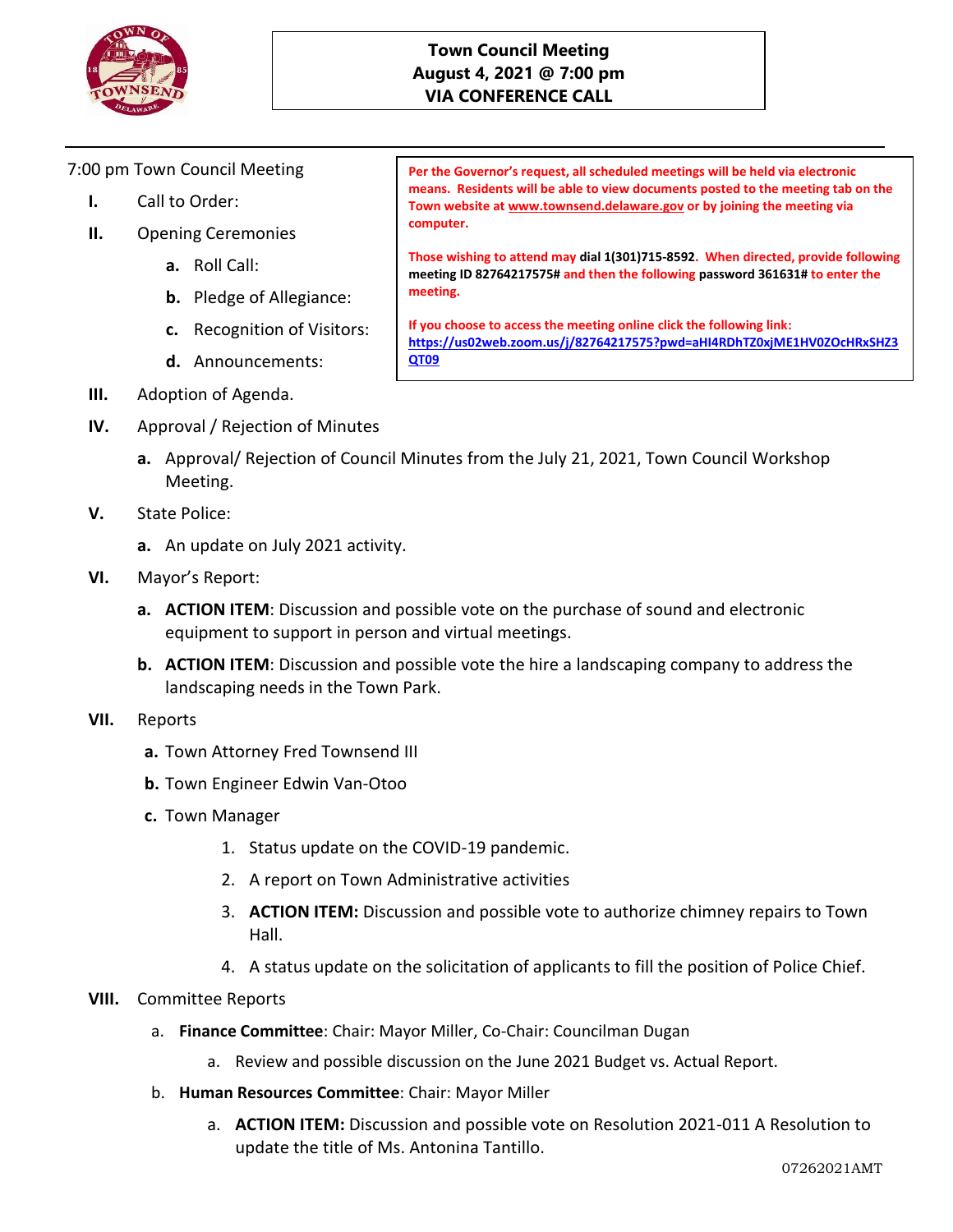

## **Town Council Meeting August 4, 2021 @ 7:00 pm VIA CONFERENCE CALL**

7:00 pm Town Council Meeting

- **I.** Call to Order:
- **II.** Opening Ceremonies
	- **a.** Roll Call:
	- **b.** Pledge of Allegiance:
	- **c.** Recognition of Visitors:
	- **d.** Announcements:

**means. Residents will be able to view documents posted to the meeting tab on the Town website a[t www.townsend.delaware.gov](http://www.townsend.delaware.gov/) or by joining the meeting via computer.**

**Per the Governor's request, all scheduled meetings will be held via electronic** 

**Those wishing to attend may dial 1(301)715-8592. When directed, provide following meeting ID 82764217575# and then the following password 361631# to enter the meeting.** 

**If you choose to access the meeting online click the following link: [https://us02web.zoom.us/j/82764217575?pwd=aHI4RDhTZ0xjME1HV0ZOcHRxSHZ3](https://us02web.zoom.us/j/82764217575?pwd=aHI4RDhTZ0xjME1HV0ZOcHRxSHZ3QT09) [QT09](https://us02web.zoom.us/j/82764217575?pwd=aHI4RDhTZ0xjME1HV0ZOcHRxSHZ3QT09)**

- **III.** Adoption of Agenda.
- **IV.** Approval / Rejection of Minutes
	- **a.** Approval/ Rejection of Council Minutes from the July 21, 2021, Town Council Workshop Meeting.
- **V.** State Police:
	- **a.** An update on July 2021 activity.
- **VI.** Mayor's Report:
	- **a. ACTION ITEM**: Discussion and possible vote on the purchase of sound and electronic equipment to support in person and virtual meetings.
	- **b. ACTION ITEM**: Discussion and possible vote the hire a landscaping company to address the landscaping needs in the Town Park.
- **VII.** Reports
	- **a.** Town Attorney Fred Townsend III
	- **b.** Town Engineer Edwin Van-Otoo
	- **c.** Town Manager
		- 1. Status update on the COVID-19 pandemic.
		- 2. A report on Town Administrative activities
		- 3. **ACTION ITEM:** Discussion and possible vote to authorize chimney repairs to Town Hall.
		- 4. A status update on the solicitation of applicants to fill the position of Police Chief.
- **VIII.** Committee Reports
	- a. **Finance Committee**: Chair: Mayor Miller, Co-Chair: Councilman Dugan
		- a. Review and possible discussion on the June 2021 Budget vs. Actual Report.
	- b. **Human Resources Committee**: Chair: Mayor Miller
		- a. **ACTION ITEM:** Discussion and possible vote on Resolution 2021-011 A Resolution to update the title of Ms. Antonina Tantillo.